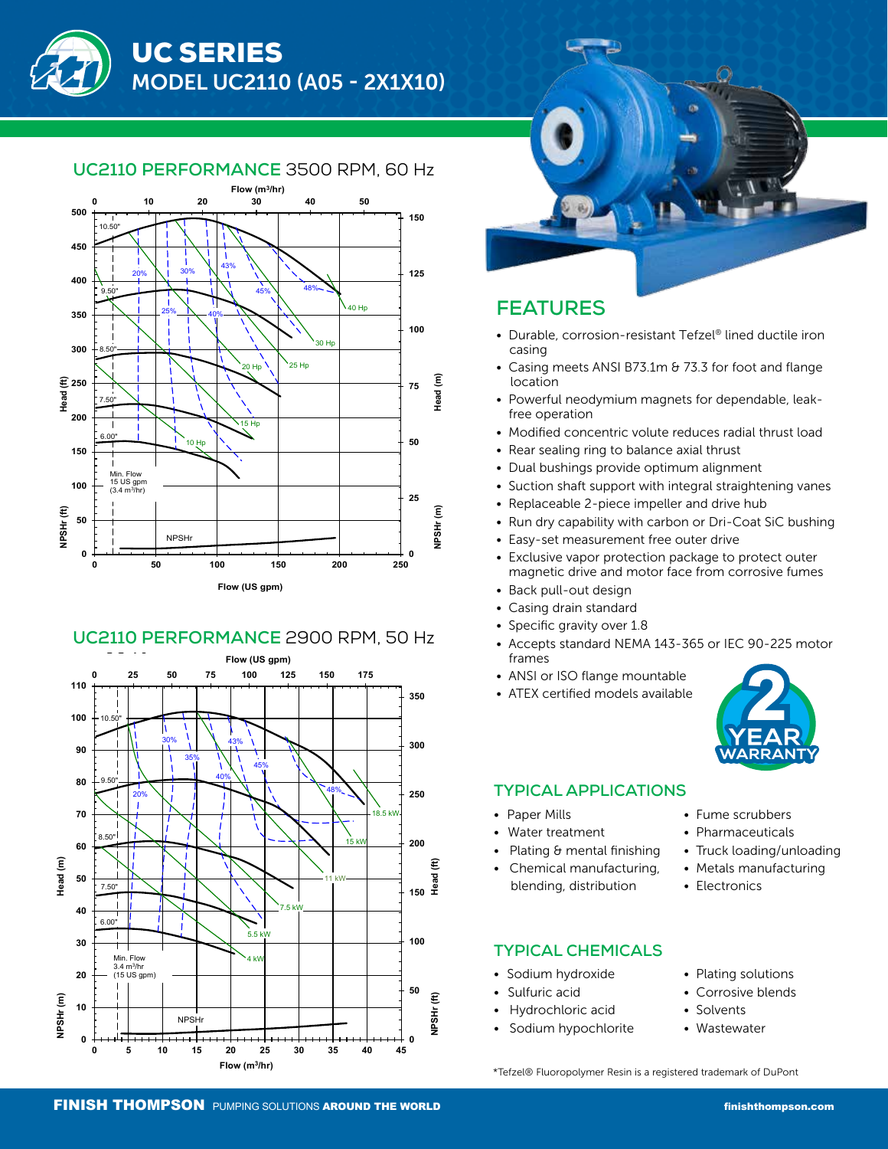**Model: UC2110**

#### UC2110 PERFORMANCE 3500 RPM, 60 Hz I**IO PERFORI**



#### UC2110 PERFORMANCE 2900 RPM, 50 Hz **Discharge: 1" Flange**





### **FEATURES**

- Durable, corrosion-resistant Tefzel® lined ductile iron casing
- Casing meets ANSI B73.1m & 73.3 for foot and flange location
- Powerful neodymium magnets for dependable, leak free operation
- Modified concentric volute reduces radial thrust load
- Rear sealing ring to balance axial thrust
- Dual bushings provide optimum alignment
- Suction shaft support with integral straightening vanes
- Replaceable 2-piece impeller and drive hub
- Run dry capability with carbon or Dri-Coat SiC bushing
- Easy-set measurement free outer drive
- Exclusive vapor protection package to protect outer magnetic drive and motor face from corrosive fumes
- Back pull-out design
- Casing drain standard
- Specific gravity over 1.8
- Accepts standard NEMA 143-365 or IEC 90-225 motor frames
- ANSI or ISO flange mountable
- ATEX certified models available



• Truck loading/unloading • Metals manufacturing

#### **TYPICAL APPLICATIONS**

- Paper Mills
	- Water treatment
- Plating & mental finishing
- Chemical manufacturing, blending, distribution

#### **TYPICAL CHEMICALS**

- Sodium hydroxide
- Sulfuric acid
- Hydrochloric acid
- Sodium hypochlorite
- Plating solutions

• Fume scrubbers • Pharmaceuticals

• Electronics

- Corrosive blends
- Solvents
- **Wastewater**

\*Tefzel® Fluoropolymer Resin is a registered trademark of DuPont